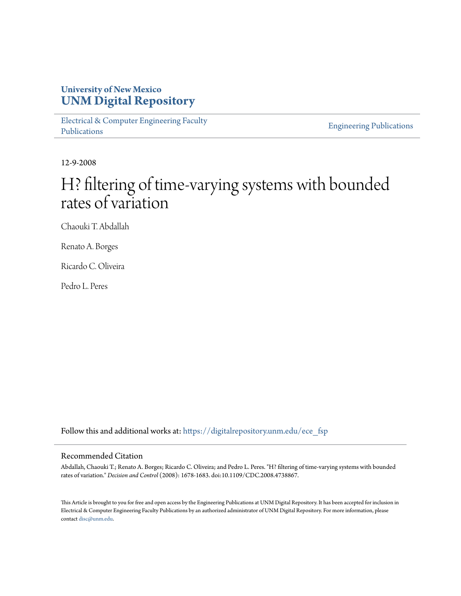## **University of New Mexico [UNM Digital Repository](https://digitalrepository.unm.edu?utm_source=digitalrepository.unm.edu%2Fece_fsp%2F75&utm_medium=PDF&utm_campaign=PDFCoverPages)**

[Electrical & Computer Engineering Faculty](https://digitalrepository.unm.edu/ece_fsp?utm_source=digitalrepository.unm.edu%2Fece_fsp%2F75&utm_medium=PDF&utm_campaign=PDFCoverPages) [Publications](https://digitalrepository.unm.edu/ece_fsp?utm_source=digitalrepository.unm.edu%2Fece_fsp%2F75&utm_medium=PDF&utm_campaign=PDFCoverPages)

[Engineering Publications](https://digitalrepository.unm.edu/eng_fsp?utm_source=digitalrepository.unm.edu%2Fece_fsp%2F75&utm_medium=PDF&utm_campaign=PDFCoverPages)

12-9-2008

# H? filtering of time-varying systems with bounded rates of variation

Chaouki T. Abdallah

Renato A. Borges

Ricardo C. Oliveira

Pedro L. Peres

Follow this and additional works at: [https://digitalrepository.unm.edu/ece\\_fsp](https://digitalrepository.unm.edu/ece_fsp?utm_source=digitalrepository.unm.edu%2Fece_fsp%2F75&utm_medium=PDF&utm_campaign=PDFCoverPages)

### Recommended Citation

Abdallah, Chaouki T.; Renato A. Borges; Ricardo C. Oliveira; and Pedro L. Peres. "H? filtering of time-varying systems with bounded rates of variation." *Decision and Control* (2008): 1678-1683. doi:10.1109/CDC.2008.4738867.

This Article is brought to you for free and open access by the Engineering Publications at UNM Digital Repository. It has been accepted for inclusion in Electrical & Computer Engineering Faculty Publications by an authorized administrator of UNM Digital Repository. For more information, please contact [disc@unm.edu.](mailto:disc@unm.edu)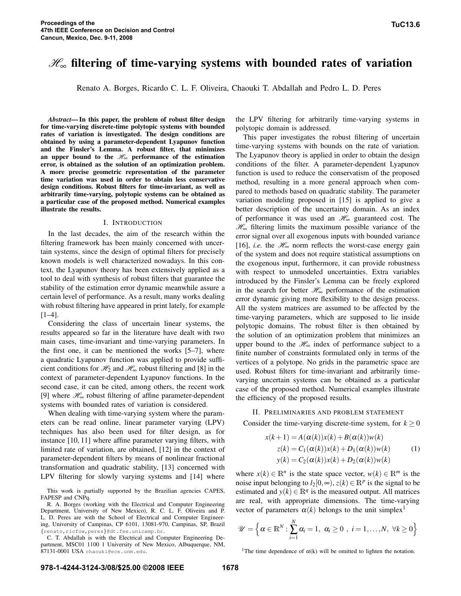## H<sup>∞</sup> **filtering of time-varying systems with bounded rates of variation**

Renato A. Borges, Ricardo C. L. F. Oliveira, Chaouki T. Abdallah and Pedro L. D. Peres

*Abstract***—In this paper, the problem of robust filter design for time-varying discrete-time polytopic systems with bounded rates of variation is investigated. The design conditions are obtained by using a parameter-dependent Lyapunov function and the Finsler's Lemma. A robust filter, that minimizes an upper bound** to the  $H_{\infty}$  **performance** of the estimation **error, is obtained as the solution of an optimization problem. A more precise geometric representation of the parameter time variation was used in order to obtain less conservative design conditions. Robust filters for time-invariant, as well as arbitrarily time-varying, polytopic systems can be obtained as a particular case of the proposed method. Numerical examples illustrate the results.**

#### I. INTRODUCTION

In the last decades, the aim of the research within the filtering framework has been mainly concerned with uncertain systems, since the design of optimal filters for precisely known models is well characterized nowadays. In this context, the Lyapunov theory has been extensively applied as a tool to deal with synthesis of robust filters that guarantee the stability of the estimation error dynamic meanwhile assure a certain level of performance. As a result, many works dealing with robust filtering have appeared in print lately, for example [1–4].

Considering the class of uncertain linear systems, the results appeared so far in the literature have dealt with two main cases, time-invariant and time-varying parameters. In the first one, it can be mentioned the works [5–7], where a quadratic Lyapunov function was applied to provide sufficient conditions for  $\mathcal{H}_2$  and  $\mathcal{H}_\infty$  robust filtering and [8] in the context of parameter-dependent Lyapunov functions. In the second case, it can be cited, among others, the recent work [9] where  $\mathcal{H}_{\infty}$  robust filtering of affine parameter-dependent systems with bounded rates of variation is considered.

When dealing with time-varying system where the parameters can be read online, linear parameter varying (LPV) techniques has also been used for filter design, as for instance [10, 11] where affine parameter varying filters, with limited rate of variation, are obtained, [12] in the context of parameter-dependent filters by means of nonlinear fractional transformation and quadratic stability, [13] concerned with LPV filtering for slowly varying systems and [14] where

This work is partially supported by the Brazilian agencies CAPES, FAPESP and CNPq.

R. A. Borges (working with the Electrical and Computer Engineering Department, University of New Mexico), R. C. L. F. Oliveira and P. L. D. Peres are with the School of Electrical and Computer Engineering, University of Campinas, CP 6101, 13081-970, Campinas, SP, Brazil {renato,ricfow,peres}@dt.fee.unicamp.br.

C. T. Abdallah is with the Electrical and Computer Engineering Department, MSC01 1100 1 University of New Mexico, Albuquerque, NM, 87131-0001 USA chaouki@ece.unm.edu.

the LPV filtering for arbitrarily time-varying systems in polytopic domain is addressed.

This paper investigates the robust filtering of uncertain time-varying systems with bounds on the rate of variation. The Lyapunov theory is applied in order to obtain the design conditions of the filter. A parameter-dependent Lyapunov function is used to reduce the conservatism of the proposed method, resulting in a more general approach when compared to methods based on quadratic stability. The parameter variation modeling proposed in [15] is applied to give a better description of the uncertainty domain. As an index of performance it was used an  $\mathcal{H}_{\infty}$  guaranteed cost. The  $\mathcal{H}_{\infty}$  filtering limits the maximum possible variance of the error signal over all exogenous inputs with bounded variance [16], *i.e.* the  $\mathcal{H}_{\infty}$  norm reflects the worst-case energy gain of the system and does not require statistical assumptions on the exogenous input, furthermore, it can provide robustness with respect to unmodeled uncertainties. Extra variables introduced by the Finsler's Lemma can be freely explored in the search for better  $\mathcal{H}_{\infty}$  performance of the estimation error dynamic giving more flexibility to the design process. All the system matrices are assumed to be affected by the time-varying parameters, which are supposed to lie inside polytopic domains. The robust filter is then obtained by the solution of an optimization problem that minimizes an upper bound to the  $\mathcal{H}_{\infty}$  index of performance subject to a finite number of constraints formulated only in terms of the vertices of a polytope. No grids in the parametric space are used. Robust filters for time-invariant and arbitrarily timevarying uncertain systems can be obtained as a particular case of the proposed method. Numerical examples illustrate the efficiency of the proposed results.

#### II. PRELIMINARIES AND PROBLEM STATEMENT

Consider the time-varying discrete-time system, for  $k > 0$ 

$$
x(k+1) = A(\alpha(k))x(k) + B(\alpha(k))w(k)
$$
  
\n
$$
z(k) = C_1(\alpha(k))x(k) + D_1(\alpha(k))w(k)
$$
  
\n
$$
y(k) = C_2(\alpha(k))x(k) + D_2(\alpha(k))w(k)
$$
\n(1)

where  $x(k) \in \mathbb{R}^n$  is the state space vector,  $w(k) \in \mathbb{R}^m$  is the noise input belonging to  $l_2[0, \infty)$ ,  $z(k) \in \mathbb{R}^p$  is the signal to be estimated and  $y(k) \in \mathbb{R}^q$  is the measured output. All matrices are real, with appropriate dimensions. The time-varying vector of parameters  $\alpha(k)$  belongs to the unit simplex<sup>1</sup>

$$
\mathscr{U} = \left\{ \alpha \in \mathbb{R}^N : \sum_{i=1}^N \alpha_i = 1, \ \alpha_i \geq 0 \ , \ i = 1, \ldots, N, \ \forall k \geq 0 \right\}
$$

<sup>1</sup>The time dependence of  $\alpha(k)$  will be omitted to lighten the notation.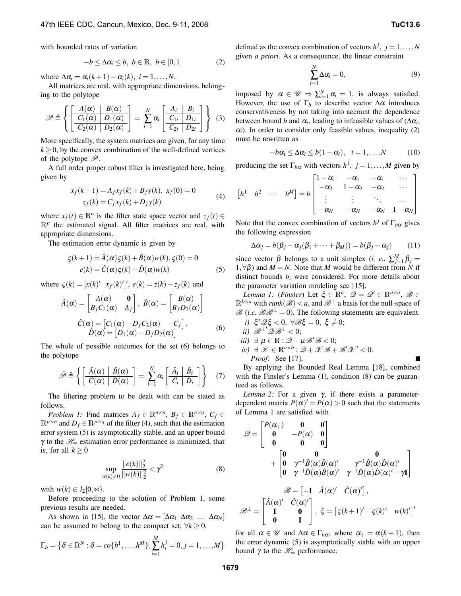with bounded rates of variation

$$
-b \leq \Delta \alpha_i \leq b, \ b \in \mathbb{R}, \ b \in [0,1]
$$
 (2)

where  $\Delta \alpha_i = \alpha_i(k+1) - \alpha_i(k), i = 1, \ldots, N$ .

All matrices are real, with appropriate dimensions, belonging to the polytope

$$
\mathscr{P} \triangleq \left\{ \left[ \frac{A(\alpha)}{C_1(\alpha)} \frac{B(\alpha)}{D_1(\alpha)} \right] = \sum_{i=1}^N \alpha_i \left[ \frac{A_i \mid B_i}{C_{1i} \mid D_{1i}} \right] \right\} (3)
$$

More specifically, the system matrices are given, for any time  $k \geq 0$ , by the convex combination of the well-defined vertices of the polytope  $\mathscr{P}$ .

A full order proper robust filter is investigated here, being given by

$$
\dot{x}_f(k+1) = A_f x_f(k) + B_f y(k), \ x_f(0) = 0
$$
  
\n
$$
z_f(k) = C_f x_f(k) + D_f y(k)
$$
 (4)

where  $x_f(t) \in \mathbb{R}^n$  is the filter state space vector and  $z_f(t) \in$  $\mathbb{R}^p$  the estimated signal. All filter matrices are real, with appropriate dimensions.

The estimation error dynamic is given by

$$
\varsigma(k+1) = \hat{A}(\alpha)\varsigma(k) + \hat{B}(\alpha)w(k), \varsigma(0) = 0
$$
  

$$
e(k) = \hat{C}(\alpha)\varsigma(k) + \hat{D}(\alpha)w(k)
$$
 (5)

where  $\zeta(k) = [x(k)' \ x_f(k)']'$ ,  $e(k) = z(k) - z_f(k)$  and

$$
\hat{A}(\alpha) = \begin{bmatrix} A(\alpha) & \mathbf{0} \\ B_f C_2(\alpha) & A_f \end{bmatrix}, \ \hat{B}(\alpha) = \begin{bmatrix} B(\alpha) \\ B_f D_2(\alpha) \end{bmatrix}
$$

$$
\hat{C}(\alpha) = \begin{bmatrix} C_1(\alpha) - D_f C_2(\alpha) & -C_f \end{bmatrix},
$$

$$
\hat{D}(\alpha) = \begin{bmatrix} D_1(\alpha) - D_f D_2(\alpha) \end{bmatrix}
$$
(6)

The whole of possible outcomes for the set (6) belongs to the polytope

$$
\hat{\mathscr{P}} \triangleq \left\{ \left[ \frac{\hat{A}(\alpha) \mid \hat{B}(\alpha)}{\hat{C}(\alpha) \mid \hat{D}(\alpha)} \right] = \sum_{i=1}^{N} \alpha_i \left[ \frac{\hat{A}_i \mid \hat{B}_i}{\hat{C}_i \mid \hat{D}_i} \right] \right\} \quad (7)
$$

The filtering problem to be dealt with can be stated as follows.

*Problem 1:* Find matrices  $A_f \in \mathbb{R}^{n \times n}$ ,  $B_f \in \mathbb{R}^{n \times q}$ ,  $C_f \in$  $\mathbb{R}^{p \times n}$  and  $D_f \in \mathbb{R}^{p \times q}$  of the filter (4), such that the estimation error system (5) is asymptotically stable, and an upper bound γ to the  $\mathcal{H}_{\infty}$  estimation error performance is minimized, that is, for all  $k \geq 0$ 

$$
\sup_{w(k)\neq 0} \frac{\|e(k)\|_2^2}{\|w(k)\|_2^2} < \gamma^2
$$
 (8)

with  $w(k) \in l_2[0, \infty)$ .

Before proceeding to the solution of Problem 1, some previous results are needed.

As shown in [15], the vector  $\Delta \alpha = [\Delta \alpha_1 \ \Delta \alpha_2 \ \dots \ \Delta \alpha_N]$ can be assumed to belong to the compact set,  $\forall k \geq 0$ ,

$$
\Gamma_b = \left\{ \delta \in \mathbb{R}^N : \delta = co\{h^1, \ldots, h^M\}, \sum_{i=1}^M h_i^j = 0, j = 1, \ldots, M \right\}
$$

defined as the convex combination of vectors  $h^j$ ,  $j = 1, ..., N$ given *a priori*. As a consequence, the linear constraint

$$
\sum_{i=1}^{N} \Delta \alpha_i = 0, \tag{9}
$$

imposed by  $\alpha \in \mathcal{U} \Rightarrow \sum_{i=1}^{N} \alpha_i = 1$ , is always satisfied. However, the use of  $\Gamma_b$  to describe vector  $\Delta \alpha$  introduces conservativeness by not taking into account the dependence between bound *b* and  $\alpha_i$ , leading to infeasible values of  $(\Delta \alpha_i)$ ,  $\alpha_i$ ). In order to consider only feasible values, inequality (2) must be rewritten as

$$
-b\alpha_i \leq \Delta \alpha_i \leq b(1-\alpha_i), \quad i=1,\ldots,N \tag{10}
$$

producing the set  $\Gamma_{b\alpha}$  with vectors  $h^j$ ,  $j = 1, ..., M$  given by

$$
\begin{bmatrix} h^1 & h^2 & \cdots & h^M \end{bmatrix} = b \begin{bmatrix} 1 - \alpha_1 & -\alpha_1 & -\alpha_1 & \cdots \\ -\alpha_2 & 1 - \alpha_2 & -\alpha_2 & \cdots \\ \vdots & \vdots & \ddots & \cdots \\ -\alpha_N & -\alpha_N & -\alpha_N & 1 - \alpha_N \end{bmatrix}
$$

Note that the convex combination of vectors  $h^j$  of  $\Gamma_{b\alpha}$  gives the following expression

$$
\Delta \alpha_j = b(\beta_j - \alpha_j(\beta_1 + \dots + \beta_M)) = b(\beta_j - \alpha_j)
$$
 (11)

since vector  $\beta$  belongs to a unit simplex (*i. e.*,  $\sum_{j=1}^{M} \beta_j =$ 1,∀β) and *M* = *N*. Note that *M* would be different from *N* if distinct bounds  $b_i$  were considered. For more details about the parameter variation modeling see [15].

*Lemma 1:* (*Finsler*) Let  $\xi \in \mathbb{R}^a$ ,  $\mathcal{Q} = \mathcal{Q}' \in \mathbb{R}^{a \times a}$ ,  $\mathcal{B} \in$  $\mathbb{R}^{b \times a}$  with *rank*( $\mathscr{B}) < a$ , and  $\mathscr{B}^{\perp}$  a basis for the null-space of  $\mathscr{B}$  (*i.e.*  $\mathscr{B}\mathscr{B}^{\perp}=0$ ). The following statements are equivalent.

i) 
$$
\xi' \mathscr{Q} \xi < 0, \ \forall \mathscr{B} \xi = 0, \ \xi \neq 0;
$$

- *ii*)  $\mathscr{B}^{\perp}$ ' $\mathscr{Q}\mathscr{B}^{\perp}$  < 0;
- *iii*)  $\exists \mu \in \mathbb{R}: \mathcal{Q} \mu \mathcal{B}' \mathcal{B} < 0;$
- $iv) \exists \mathscr{X} \in \mathbb{R}^{a \times b} : \mathscr{Q} + \mathscr{X} \mathscr{B} + \mathscr{B}' \mathscr{X}' < 0.$ *Proof:* See [17].

By applying the Bounded Real Lemma [18], combined with the Finsler's Lemma (1), condition (8) can be guaranteed as follows.

*Lemma 2:* For a given γ, if there exists a parameterdependent matrix  $P(\alpha)' = P(\alpha) > 0$  such that the statements of Lemma 1 are satisfied with

$$
\mathcal{Q} = \begin{bmatrix} P(\alpha_+) & 0 & 0 \\ 0 & -P(\alpha) & 0 \\ 0 & 0 & 0 \end{bmatrix} + \begin{bmatrix} 0 & 0 & 0 \\ 0 & \gamma^{-1}\hat{B}(\alpha)\hat{B}(\alpha)' & \gamma^{-1}\hat{B}(\alpha)\hat{D}(\alpha)' \\ 0 & \gamma^{-1}\hat{D}(\alpha)\hat{B}(\alpha)' & \gamma^{-1}\hat{D}(\alpha)\hat{D}(\alpha)' - \gamma \mathbf{I} \end{bmatrix}
$$

$$
\mathcal{B} = \begin{bmatrix} -\mathbf{I} & \hat{A}(\alpha)' & \hat{C}(\alpha)'\end{bmatrix},
$$

$$
\mathcal{B}^{\perp} = \begin{bmatrix} \hat{A}(\alpha)' & \hat{C}(\alpha)' \\ \mathbf{I} & \mathbf{0} \\ \mathbf{0} & \mathbf{I} \end{bmatrix}, \xi = \begin{bmatrix} \xi(k+1)' & \zeta(k)' & w(k)'\end{bmatrix}'
$$

for all  $\alpha \in \mathcal{U}$  and  $\Delta \alpha \in \Gamma_{b\alpha}$ , where  $\alpha_+ = \alpha(k+1)$ , then the error dynamic (5) is asymptotically stable with an upper bound  $γ$  to the  $\mathcal{H}_\infty$  performance.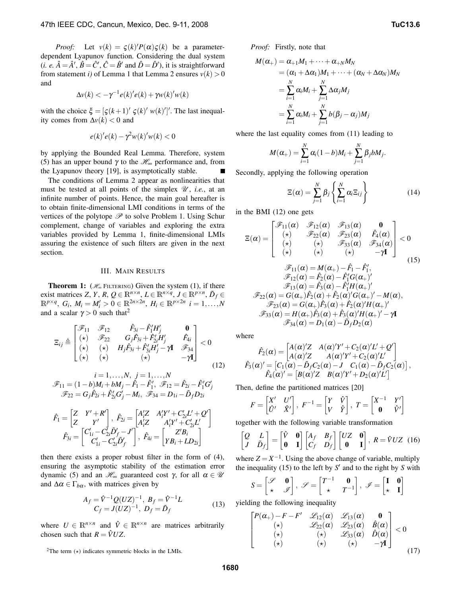*Proof:* Let  $v(k) = \zeta(k)'P(\alpha)\zeta(k)$  be a parameterdependent Lyapunov function. Considering the dual system  $(i. e. \hat{A} = \hat{A}', \hat{B} = \hat{C}', \hat{C} = \hat{B}'$  and  $\hat{D} = \hat{D}'$ , it is straightforward from statement *i*) of Lemma 1 that Lemma 2 ensures  $v(k) > 0$ and

$$
\Delta v(k) < -\gamma^{-1} e(k)' e(k) + \gamma w(k)' w(k)
$$

with the choice  $\xi = [\zeta(k+1)^\prime \zeta(k)^\prime w(k)^\prime]^\prime$ . The last inequality comes from  $\Delta v(k) < 0$  and

$$
e(k)'e(k) - \gamma^2 w(k)'w(k) < 0
$$

by applying the Bounded Real Lemma. Therefore, system (5) has an upper bound  $\gamma$  to the  $\mathcal{H}_{\infty}$  performance and, from the Lyapunov theory [19], is asymptotically stable.  $\blacksquare$ 

The conditions of Lemma 2 appear as nonlinearities that must be tested at all points of the simplex  $\mathcal{U}$ , *i.e.*, at an infinite number of points. Hence, the main goal hereafter is to obtain finite-dimensional LMI conditions in terms of the vertices of the polytope  $\mathscr P$  to solve Problem 1. Using Schur complement, change of variables and exploring the extra variables provided by Lemma 1, finite-dimensional LMIs assuring the existence of such filters are given in the next section.

#### III. MAIN RESULTS

**Theorem 1:** ( $\mathcal{H}_{\infty}$  FILTERING) Given the system (1), if there exist matrices *Z*, *Y*, *R*,  $Q \in \mathbb{R}^{n \times n}$ ,  $L \in \mathbb{R}^{n \times q}$ ,  $J \in \mathbb{R}^{p \times n}$ ,  $\tilde{D}_f \in$  $\mathbb{R}^{p \times q}$ ,  $G_i$ ,  $M_i = M'_i > 0 \in \mathbb{R}^{2n \times 2n}$ ,  $H_i \in \mathbb{R}^{p \times 2n}$   $i = 1, ..., N$ and a scalar  $\gamma > 0$  such that<sup>2</sup>

$$
\Xi_{ij} \triangleq \begin{bmatrix}\n\mathcal{F}_{11} & \mathcal{F}_{12} & \hat{F}_{3i} - \hat{F}'_1 H'_j & \mathbf{0} \\
(\star) & \mathcal{F}_{22} & G_j \hat{F}_{3i} + \hat{F}'_2 H'_j & \hat{F}_{4i} \\
(\star) & (\star) & H_j \hat{F}_{3i} + \hat{F}'_{3i} H'_j - \gamma \mathbf{I} & \mathcal{F}_{34} \\
(\star) & (\star) & (\star) & (\star)\n\end{bmatrix} < 0
$$
\n(12)

$$
i = 1,...,N, \ j = 1,...,N
$$
  

$$
\mathscr{F}_{11} = (1 - b)M_i + bM_j - \hat{F}_1 - \hat{F}'_1, \ \mathscr{F}_{12} = \hat{F}_{2i} - \hat{F}'_1 G'_j
$$
  

$$
\mathscr{F}_{22} = G_j \hat{F}_{2i} + \hat{F}'_{2i} G'_j - M_i, \ \mathscr{F}_{34} = D_{1i} - \tilde{D}_f D_{2i}
$$

$$
\hat{F}_1 = \begin{bmatrix} Z & Y' + R' \\ Z & Y' \end{bmatrix}, \ \hat{F}_{2i} = \begin{bmatrix} A'_i Z & A'_i Y' + C'_{2i} L' + Q' \\ A'_i Z & A'_i Y' + C'_{2i} L' \end{bmatrix}
$$
\n
$$
\hat{F}_{3i} = \begin{bmatrix} C'_{1i} - C'_{2i} \tilde{D}'_f - J' \\ C'_{1i} - C'_{2i} \tilde{D}'_f \end{bmatrix}, \ \hat{F}_{4i} = \begin{bmatrix} Z' B_i \\ Y B_i + L D_{2i} \end{bmatrix}
$$

then there exists a proper robust filter in the form of (4), ensuring the asymptotic stability of the estimation error dynamic (5) and an  $\mathcal{H}_{\infty}$  guaranteed cost γ, for all  $\alpha \in \mathcal{U}$ and  $\Delta \alpha \in \Gamma_{b\alpha}$ , with matrices given by

$$
A_f = \hat{V}^{-1} Q(UZ)^{-1}, B_f = \hat{V}^{-1} L
$$
  
\n
$$
C_f = J(UZ)^{-1}, D_f = \tilde{D}_f
$$
\n(13)

where  $U \in \mathbb{R}^{n \times n}$  and  $\hat{V} \in \mathbb{R}^{n \times n}$  are matrices arbitrarily chosen such that  $R = \hat{V}UZ$ .

*Proof:* Firstly, note that

$$
M(\alpha_{+}) = \alpha_{+1}M_{1} + \dots + \alpha_{+N}M_{N}
$$
  
= (\alpha\_{1} + \Delta \alpha\_{1})M\_{1} + \dots + (\alpha\_{N} + \Delta \alpha\_{N})M\_{N}  
= \sum\_{i=1}^{N} \alpha\_{i}M\_{i} + \sum\_{j=1}^{N} \Delta \alpha\_{j}M\_{j}  
= \sum\_{i=1}^{N} \alpha\_{i}M\_{i} + \sum\_{j=1}^{N} b(\beta\_{j} - \alpha\_{j})M\_{j}

where the last equality comes from (11) leading to

$$
M(\alpha_+) = \sum_{i=1}^N \alpha_i (1-b) M_i + \sum_{j=1}^N \beta_j b M_j.
$$

Secondly, applying the following operation

$$
\Xi(\alpha) = \sum_{j=1}^{N} \beta_j \left\{ \sum_{i=1}^{N} \alpha_i \Xi_{ij} \right\} \tag{14}
$$

in the BMI (12) one gets

 $\mathbf{r}$  and  $\mathbf{r}$  and  $\mathbf{r}$ 

$$
\Xi(\alpha) = \begin{bmatrix}\n\mathscr{F}_{11}(\alpha) & \mathscr{F}_{12}(\alpha) & \mathscr{F}_{13}(\alpha) & \mathbf{0} \\
(\star) & \mathscr{F}_{22}(\alpha) & \mathscr{F}_{23}(\alpha) & \hat{F}_4(\alpha) \\
(\star) & (\star) & (\star) & \mathscr{F}_{33}(\alpha) & \mathscr{F}_{34}(\alpha) \\
(\star) & (\star) & (\star) & -\gamma \mathbf{I}\n\end{bmatrix} < 0
$$
\n
$$
\mathscr{F}_{11}(\alpha) = M(\alpha_+) - \hat{F}_1 - \hat{F}_1',
$$
\n
$$
\mathscr{F}_{12}(\alpha) = \hat{F}_2(\alpha) - \hat{F}_1'G(\alpha_+)'
$$
\n
$$
\mathscr{F}_{13}(\alpha) = \hat{F}_3(\alpha) - \hat{F}_1'H(\alpha_+)'
$$
\n
$$
\mathscr{F}_{22}(\alpha) = G(\alpha_+) \hat{F}_2(\alpha) + \hat{F}_2(\alpha)'G(\alpha_+) - M(\alpha),
$$
\n
$$
\mathscr{F}_{23}(\alpha) = G(\alpha_+) \hat{F}_3(\alpha) + \hat{F}_2(\alpha)'H(\alpha_+)'
$$
\n
$$
\mathscr{F}_{33}(\alpha) = H(\alpha_+) \hat{F}_3(\alpha) + \hat{F}_3(\alpha)'H(\alpha_+)' - \gamma \mathbf{I}
$$
\n
$$
\mathscr{F}_{34}(\alpha) = D_1(\alpha) - \hat{D}_f D_2(\alpha)
$$
\n(15)

where

$$
\hat{F}_2(\alpha) = \begin{bmatrix} A(\alpha)'Z & A(\alpha)'Y' + C_2(\alpha)'L' + Q' \\ A(\alpha)'Z & A(\alpha)'Y' + C_2(\alpha)'L' \end{bmatrix}
$$

$$
\hat{F}_3(\alpha)' = \begin{bmatrix} C_1(\alpha) - \tilde{D}_f C_2(\alpha) - J & C_1(\alpha) - \tilde{D}_f C_2(\alpha) \end{bmatrix},
$$

$$
\hat{F}_4(\alpha)' = \begin{bmatrix} B(\alpha)'Z & B(\alpha)'Y' + D_2(\alpha)'L' \end{bmatrix}
$$

Then, define the partitioned matrices [20]

$$
F = \begin{bmatrix} X' & U' \\ \hat{U}' & \hat{X}' \end{bmatrix}, \ F^{-1} = \begin{bmatrix} Y & \hat{V} \\ V & \hat{Y} \end{bmatrix}, \ T = \begin{bmatrix} X^{-1} & Y' \\ \mathbf{0} & \hat{V}' \end{bmatrix}
$$

together with the following variable transformation

$$
\begin{bmatrix} Q & L \\ J & \tilde{D}_f \end{bmatrix} = \begin{bmatrix} \hat{V} & \mathbf{0} \\ \mathbf{0} & \mathbf{I} \end{bmatrix} \begin{bmatrix} A_f & B_f \\ C_f & D_f \end{bmatrix} \begin{bmatrix} UZ & \mathbf{0} \\ \mathbf{0} & \mathbf{I} \end{bmatrix}, R = \hat{V}UZ \quad (16)
$$

where  $Z = X^{-1}$ . Using the above change of variable, multiply the inequality (15) to the left by  $S'$  and to the right by  $S$  with

$$
S = \begin{bmatrix} \mathcal{S} & \mathbf{0} \\ \star & \mathcal{J} \end{bmatrix}, \ \mathcal{S} = \begin{bmatrix} T^{-1} & \mathbf{0} \\ \star & T^{-1} \end{bmatrix}, \ \mathcal{J} = \begin{bmatrix} \mathbf{I} & \mathbf{0} \\ \star & \mathbf{I} \end{bmatrix}
$$

yielding the following inequality

$$
\begin{bmatrix}\nP(\alpha_+) - F - F' & \mathcal{L}_{12}(\alpha) & \mathcal{L}_{13}(\alpha) & \mathbf{0} \\
(\star) & \mathcal{L}_{22}(\alpha) & \mathcal{L}_{23}(\alpha) & \hat{B}(\alpha) \\
(\star) & (\star) & \mathcal{L}_{33}(\alpha) & \hat{D}(\alpha) \\
(\star) & (\star) & (\star) & -\gamma \mathbf{I}\n\end{bmatrix} < 0
$$
\n(17)

<sup>&</sup>lt;sup>2</sup>The term  $(\star)$  indicates symmetric blocks in the LMIs.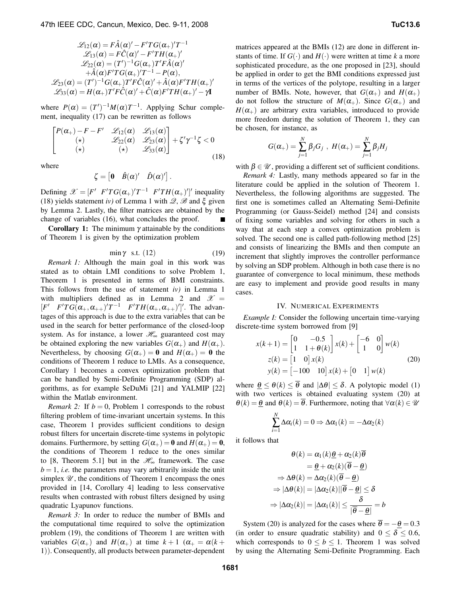$$
\mathcal{L}_{12}(\alpha) = F\hat{A}(\alpha)' - F'TG(\alpha_{+})'T^{-1}
$$
  
\n
$$
\mathcal{L}_{13}(\alpha) = F\hat{C}(\alpha)' - F'TH(\alpha_{+})'
$$
  
\n
$$
\mathcal{L}_{22}(\alpha) = (T')^{-1}G(\alpha_{+})T'F\hat{A}(\alpha)'
$$
  
\n
$$
+\hat{A}(\alpha)F'TG(\alpha_{+})'T^{-1} - P(\alpha),
$$
  
\n
$$
\mathcal{L}_{23}(\alpha) = (T')^{-1}G(\alpha_{+})T'F\hat{C}(\alpha)' + \hat{A}(\alpha)F'TH(\alpha_{+})'
$$
  
\n
$$
\mathcal{L}_{33}(\alpha) = H(\alpha_{+})T'F\hat{C}(\alpha)' + \hat{C}(\alpha)F'TH(\alpha_{+})' - \gamma I
$$

where  $P(\alpha) = (T')^{-1}M(\alpha)T^{-1}$ . Applying Schur complement, inequality (17) can be rewritten as follows

$$
\begin{bmatrix}\nP(\alpha_{+})-F-F' & \mathscr{L}_{12}(\alpha) & \mathscr{L}_{13}(\alpha) \\
(\star) & \mathscr{L}_{22}(\alpha) & \mathscr{L}_{23}(\alpha) \\
(\star) & (\star) & \mathscr{L}_{33}(\alpha)\n\end{bmatrix} + \zeta'\gamma^{-1}\zeta < 0
$$
\n(18)

where

$$
\zeta = \begin{bmatrix} 0 & \hat{B}(\alpha)' & \hat{D}(\alpha)'\end{bmatrix}.
$$

Defining  $\mathscr{X} = [F' \ F'TG(\alpha_+)'T^{-1} \ F'TH(\alpha_+)']'$  inequality (18) yields statement *iv*) of Lemma 1 with  $\mathcal{Q}, \mathcal{B}$  and  $\xi$  given by Lemma 2. Lastly, the filter matrices are obtained by the change of variables (16), what concludes the proof.

**Corollary 1:** The minimum γ attainable by the conditions of Theorem 1 is given by the optimization problem

$$
\min \gamma \quad \text{s.t.} \quad (12) \tag{19}
$$

*Remark 1:* Although the main goal in this work was stated as to obtain LMI conditions to solve Problem 1, Theorem 1 is presented in terms of BMI constraints. This follows from the use of statement *iv)* in Lemma 1 with multipliers defined as in Lemma 2 and  $\mathscr{X} =$  $[F' \quad F'TG(\alpha_+,\alpha_{++})'T^{-1} \quad F'TH(\alpha_+,\alpha_{++})']'.$  The advantages of this approach is due to the extra variables that can be used in the search for better performance of the closed-loop system. As for instance, a lower  $\mathcal{H}_{\infty}$  guaranteed cost may be obtained exploring the new variables  $G(\alpha_+)$  and  $H(\alpha_+)$ . Nevertheless, by choosing  $G(\alpha_+) = \mathbf{0}$  and  $H(\alpha_+) = \mathbf{0}$  the conditions of Theorem 1 reduce to LMIs. As a consequence, Corollary 1 becomes a convex optimization problem that can be handled by Semi-Definite Programming (SDP) algorithms, as for example SeDuMi [21] and YALMIP [22] within the Matlab environment.

*Remark* 2: If  $b = 0$ , Problem 1 corresponds to the robust filtering problem of time-invariant uncertain systems. In this case, Theorem 1 provides sufficient conditions to design robust filters for uncertain discrete-time systems in polytopic domains. Furthermore, by setting  $G(\alpha_+) = \mathbf{0}$  and  $H(\alpha_+) = \mathbf{0}$ , the conditions of Theorem 1 reduce to the ones similar to [8, Theorem 5.1] but in the  $\mathcal{H}_{\infty}$  framework. The case  $b = 1$ , *i.e.* the parameters may vary arbitrarily inside the unit simplex  $\mathscr U$ , the conditions of Theorem 1 encompass the ones provided in [14, Corollary 4] leading to less conservative results when contrasted with robust filters designed by using quadratic Lyapunov functions.

*Remark 3:* In order to reduce the number of BMIs and the computational time required to solve the optimization problem (19), the conditions of Theorem 1 are written with variables  $G(\alpha_+)$  and  $H(\alpha_+)$  at time  $k+1$  ( $\alpha_+ = \alpha(k+1)$ 1)). Consequently, all products between parameter-dependent

matrices appeared at the BMIs (12) are done in different instants of time. If  $G(\cdot)$  and  $H(\cdot)$  were written at time k a more sophisticated procedure, as the one proposed in [23], should be applied in order to get the BMI conditions expressed just in terms of the vertices of the polytope, resulting in a larger number of BMIs. Note, however, that  $G(\alpha_+)$  and  $H(\alpha_+)$ do not follow the structure of  $M(\alpha_+)$ . Since  $G(\alpha_+)$  and  $H(\alpha_+)$  are arbitrary extra variables, introduced to provide more freedom during the solution of Theorem 1, they can be chosen, for instance, as

$$
G(\alpha_+) = \sum_{j=1}^N \beta_j G_j \, \, , \, \, H(\alpha_+) = \sum_{j=1}^N \beta_j H_j
$$

with  $\beta \in \mathcal{U}$ , providing a different set of sufficient conditions.

*Remark 4:* Lastly, many methods appeared so far in the literature could be applied in the solution of Theorem 1. Nevertheless, the following algorithms are suggested. The first one is sometimes called an Alternating Semi-Definite Programming (or Gauss-Seidel) method [24] and consists of fixing some variables and solving for others in such a way that at each step a convex optimization problem is solved. The second one is called path-following method [25] and consists of linearizing the BMIs and then compute an increment that slightly improves the controller performance by solving an SDP problem. Although in both case there is no guarantee of convergence to local minimum, these methods are easy to implement and provide good results in many cases.

#### IV. NUMERICAL EXPERIMENTS

*Example I:* Consider the following uncertain time-varying discrete-time system borrowed from [9]

$$
x(k+1) = \begin{bmatrix} 0 & -0.5 \\ 1 & 1 + \theta(k) \end{bmatrix} x(k) + \begin{bmatrix} -6 & 0 \\ 1 & 0 \end{bmatrix} w(k)
$$
  
\n
$$
z(k) = \begin{bmatrix} 1 & 0 \end{bmatrix} x(k)
$$
  
\n
$$
y(k) = \begin{bmatrix} -100 & 10 \end{bmatrix} x(k) + \begin{bmatrix} 0 & 1 \end{bmatrix} w(k)
$$
 (20)

where  $\theta \leq \theta(k) \leq \overline{\theta}$  and  $|\Delta \theta| \leq \delta$ . A polytopic model (1) with two vertices is obtained evaluating system (20) at  $\theta(k) = \theta$  and  $\theta(k) = \theta$ . Furthermore, noting that  $\forall \alpha(k) \in \mathcal{U}$ 

$$
\sum_{i=1}^N \Delta \alpha_i(k) = 0 \Rightarrow \Delta \alpha_1(k) = -\Delta \alpha_2(k)
$$

it follows that

$$
\theta(k) = \alpha_1(k)\underline{\theta} + \alpha_2(k)\overline{\theta}
$$

$$
= \underline{\theta} + \alpha_2(k)(\overline{\theta} - \underline{\theta})
$$

$$
\Rightarrow \Delta\theta(k) = \Delta\alpha_2(k)(\overline{\theta} - \underline{\theta})
$$

$$
\Rightarrow |\Delta\theta(k)| = |\Delta\alpha_2(k)||\overline{\theta} - \underline{\theta}| \le \delta
$$

$$
\Rightarrow |\Delta\alpha_2(k)| = |\Delta\alpha_1(k)| \le \frac{\delta}{|\overline{\theta} - \underline{\theta}|} = b
$$

System (20) is analyzed for the cases where  $\overline{\theta} = -\underline{\theta} = 0.3$ (in order to ensure quadratic stability) and  $0 \le \delta \le 0.6$ , which corresponds to  $0 \le b \le 1$ . Theorem 1 was solved by using the Alternating Semi-Definite Programming. Each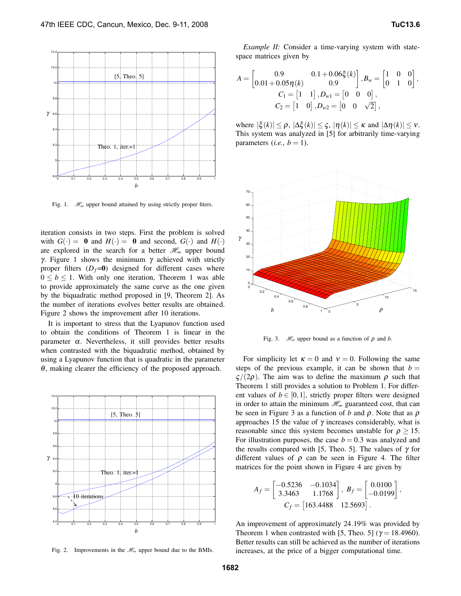

Fig. 1.  $\mathcal{H}_{\infty}$  upper bound attained by using strictly proper fiters.

iteration consists in two steps. First the problem is solved with  $G(\cdot) = 0$  and  $H(\cdot) = 0$  and second,  $G(\cdot)$  and  $H(\cdot)$ are explored in the search for a better  $\mathcal{H}_{\infty}$  upper bound γ. Figure 1 shows the minimum γ achieved with strictly proper filters  $(D_f=0)$  designed for different cases where  $0 \leq b \leq 1$ . With only one iteration, Theorem 1 was able to provide approximately the same curve as the one given by the biquadratic method proposed in [9, Theorem 2]. As the number of iterations evolves better results are obtained. Figure 2 shows the improvement after 10 iterations.

It is important to stress that the Lyapunov function used to obtain the conditions of Theorem 1 is linear in the parameter  $\alpha$ . Nevertheless, it still provides better results when contrasted with the biquadratic method, obtained by using a Lyapunov function that is quadratic in the parameter <sup>θ</sup>, making clearer the efficiency of the proposed approach.



Fig. 2. Improvements in the  $\mathcal{H}_{\infty}$  upper bound due to the BMIs.

*Example II:* Consider a time-varying system with statespace matrices given by

$$
A = \begin{bmatrix} 0.9 & 0.1 + 0.06\xi(k) \\ 0.01 + 0.05\eta(k) & 0.9 \end{bmatrix}, B_w = \begin{bmatrix} 1 & 0 & 0 \\ 0 & 1 & 0 \end{bmatrix},
$$
  
\n
$$
C_1 = \begin{bmatrix} 1 & 1 \end{bmatrix}, D_{w1} = \begin{bmatrix} 0 & 0 & 0 \end{bmatrix},
$$
  
\n
$$
C_2 = \begin{bmatrix} 1 & 0 \end{bmatrix}, D_{w2} = \begin{bmatrix} 0 & 0 & \sqrt{2} \end{bmatrix},
$$

where  $|\xi(k)| \leq \rho$ ,  $|\Delta \xi(k)| \leq \varsigma$ ,  $|\eta(k)| \leq \kappa$  and  $|\Delta \eta(k)| \leq \nu$ . This system was analyzed in [5] for arbitrarily time-varying parameters (*i.e.*,  $b = 1$ ).



Fig. 3.  $\mathcal{H}_{\infty}$  upper bound as a function of  $\rho$  and *b*.

For simplicity let  $\kappa = 0$  and  $v = 0$ . Following the same steps of the previous example, it can be shown that  $b =$  $\zeta/(2ρ)$ . The aim was to define the maximum  $ρ$  such that Theorem 1 still provides a solution to Problem 1. For different values of  $b \in [0,1]$ , strictly proper filters were designed in order to attain the minimum  $\mathcal{H}_{\infty}$  guaranteed cost, that can be seen in Figure 3 as a function of *b* and  $\rho$ . Note that as  $\rho$ approaches 15 the value of  $\gamma$  increases considerably, what is reasonable since this system becomes unstable for  $\rho \geq 15$ . For illustration purposes, the case  $b = 0.3$  was analyzed and the results compared with [5, Theo. 5]. The values of  $\gamma$  for different values of  $\rho$  can be seen in Figure 4. The filter matrices for the point shown in Figure 4 are given by

$$
A_f = \begin{bmatrix} -0.5236 & -0.1034 \\ 3.3463 & 1.1768 \end{bmatrix}, B_f = \begin{bmatrix} 0.0100 \\ -0.0199 \end{bmatrix},
$$
  

$$
C_f = \begin{bmatrix} 163.4488 & 12.5693 \end{bmatrix}.
$$

An improvement of approximately 24.19% was provided by Theorem 1 when contrasted with [5, Theo. 5] ( $\gamma$  = 18.4960). Better results can still be achieved as the number of iterations increases, at the price of a bigger computational time.